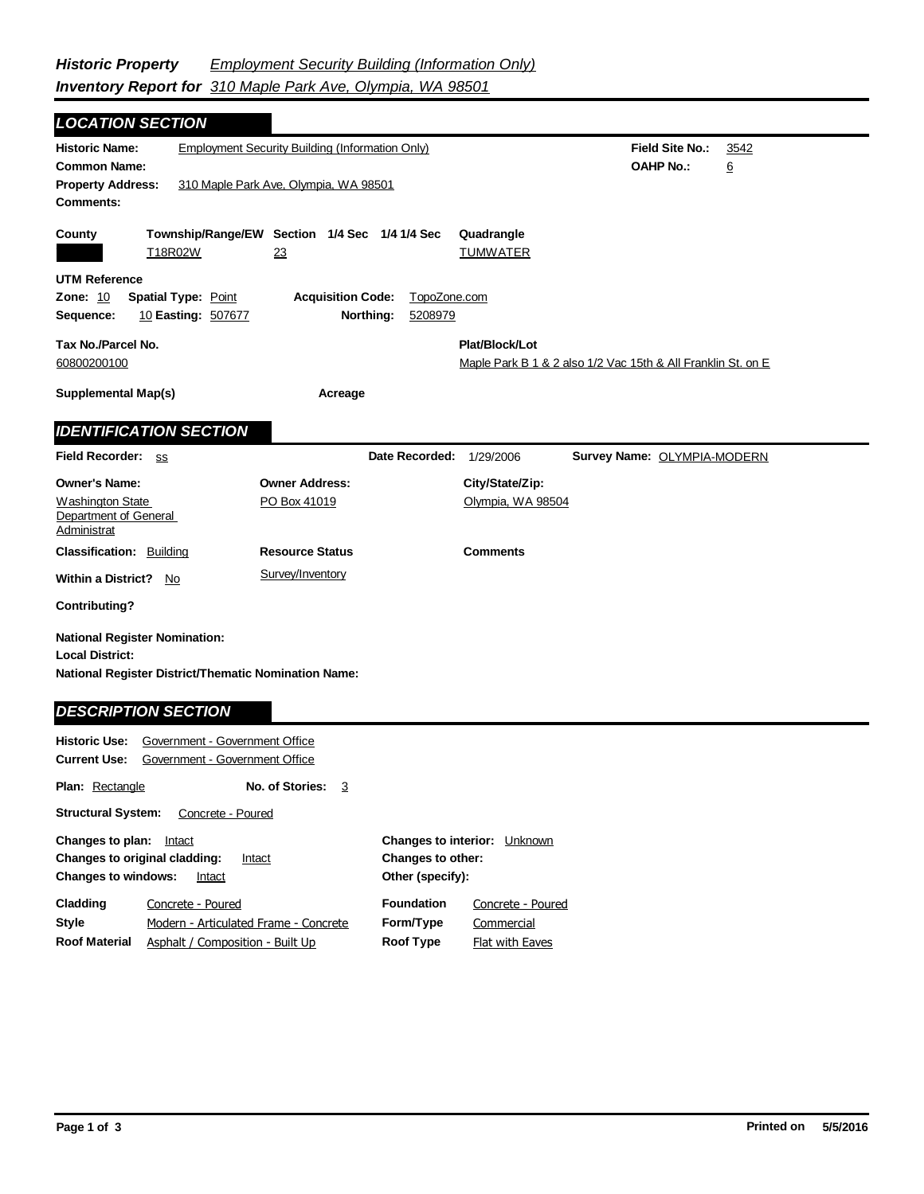| <b>LOCATION SECTION</b>                                                               |                            |                                                        |                |                                                              |                                    |      |  |
|---------------------------------------------------------------------------------------|----------------------------|--------------------------------------------------------|----------------|--------------------------------------------------------------|------------------------------------|------|--|
| <b>Historic Name:</b>                                                                 |                            | <b>Employment Security Building (Information Only)</b> |                |                                                              | <b>Field Site No.:</b>             | 3542 |  |
| <b>Common Name:</b>                                                                   |                            |                                                        |                |                                                              | <b>OAHP No.:</b>                   | 6    |  |
| <b>Property Address:</b>                                                              |                            | 310 Maple Park Ave, Olympia, WA 98501                  |                |                                                              |                                    |      |  |
| Comments:                                                                             |                            |                                                        |                |                                                              |                                    |      |  |
| County                                                                                |                            | Township/Range/EW Section 1/4 Sec 1/4 1/4 Sec          |                | Quadrangle                                                   |                                    |      |  |
| T18R02W                                                                               |                            | 23                                                     |                | <b>TUMWATER</b>                                              |                                    |      |  |
| <b>UTM Reference</b>                                                                  |                            |                                                        |                |                                                              |                                    |      |  |
| Zone: 10                                                                              | <b>Spatial Type: Point</b> | <b>Acquisition Code:</b>                               | TopoZone.com   |                                                              |                                    |      |  |
| 10 Easting: 507677<br>Northing:<br>5208979<br>Sequence:                               |                            |                                                        |                |                                                              |                                    |      |  |
| Tax No./Parcel No.                                                                    |                            |                                                        |                | Plat/Block/Lot                                               |                                    |      |  |
| 60800200100                                                                           |                            |                                                        |                | Maple Park B 1 & 2 also 1/2 Vac 15th & All Franklin St. on E |                                    |      |  |
| <b>Supplemental Map(s)</b>                                                            |                            | Acreage                                                |                |                                                              |                                    |      |  |
|                                                                                       |                            |                                                        |                |                                                              |                                    |      |  |
| <b>IDENTIFICATION SECTION</b>                                                         |                            |                                                        |                |                                                              |                                    |      |  |
| Field Recorder: SS                                                                    |                            |                                                        | Date Recorded: | 1/29/2006                                                    | <b>Survey Name: OLYMPIA-MODERN</b> |      |  |
| <b>Owner's Name:</b>                                                                  |                            | <b>Owner Address:</b>                                  |                | City/State/Zip:                                              |                                    |      |  |
| Washington State                                                                      |                            | PO Box 41019                                           |                | Olympia, WA 98504                                            |                                    |      |  |
| Department of General<br>Administrat                                                  |                            |                                                        |                |                                                              |                                    |      |  |
| <b>Classification: Building</b>                                                       |                            | <b>Resource Status</b>                                 |                | <b>Comments</b>                                              |                                    |      |  |
| <b>Within a District?</b> No                                                          |                            | Survey/Inventory                                       |                |                                                              |                                    |      |  |
| <b>Contributing?</b>                                                                  |                            |                                                        |                |                                                              |                                    |      |  |
|                                                                                       |                            |                                                        |                |                                                              |                                    |      |  |
| <b>National Register Nomination:</b>                                                  |                            |                                                        |                |                                                              |                                    |      |  |
| <b>Local District:</b><br><b>National Register District/Thematic Nomination Name:</b> |                            |                                                        |                |                                                              |                                    |      |  |
|                                                                                       |                            |                                                        |                |                                                              |                                    |      |  |
| <b>DESCRIPTION SECTION</b>                                                            |                            |                                                        |                |                                                              |                                    |      |  |
| Government - Government Office<br><b>Historic Use:</b>                                |                            |                                                        |                |                                                              |                                    |      |  |
| Government - Government Office<br><b>Current Use:</b>                                 |                            |                                                        |                |                                                              |                                    |      |  |
| <b>Plan: Rectangle</b><br>No. of Stories:<br>- 3                                      |                            |                                                        |                |                                                              |                                    |      |  |
| <b>Structural System:</b><br>Concrete - Poured                                        |                            |                                                        |                |                                                              |                                    |      |  |

| Changes to plan: Intact    |                                         |                          | <b>Changes to interior:</b> Unknown |  |
|----------------------------|-----------------------------------------|--------------------------|-------------------------------------|--|
|                            | Changes to original cladding:<br>Intact | <b>Changes to other:</b> |                                     |  |
| <b>Changes to windows:</b> | Intact                                  | Other (specify):         |                                     |  |
| Cladding                   | Concrete - Poured                       | <b>Foundation</b>        | Concrete - Poured                   |  |
| Style                      | Modern - Articulated Frame - Concrete   | Form/Type                | Commercial                          |  |
| <b>Roof Material</b>       | Asphalt / Composition - Built Up        | Roof Type                | Flat with Eaves                     |  |
|                            |                                         |                          |                                     |  |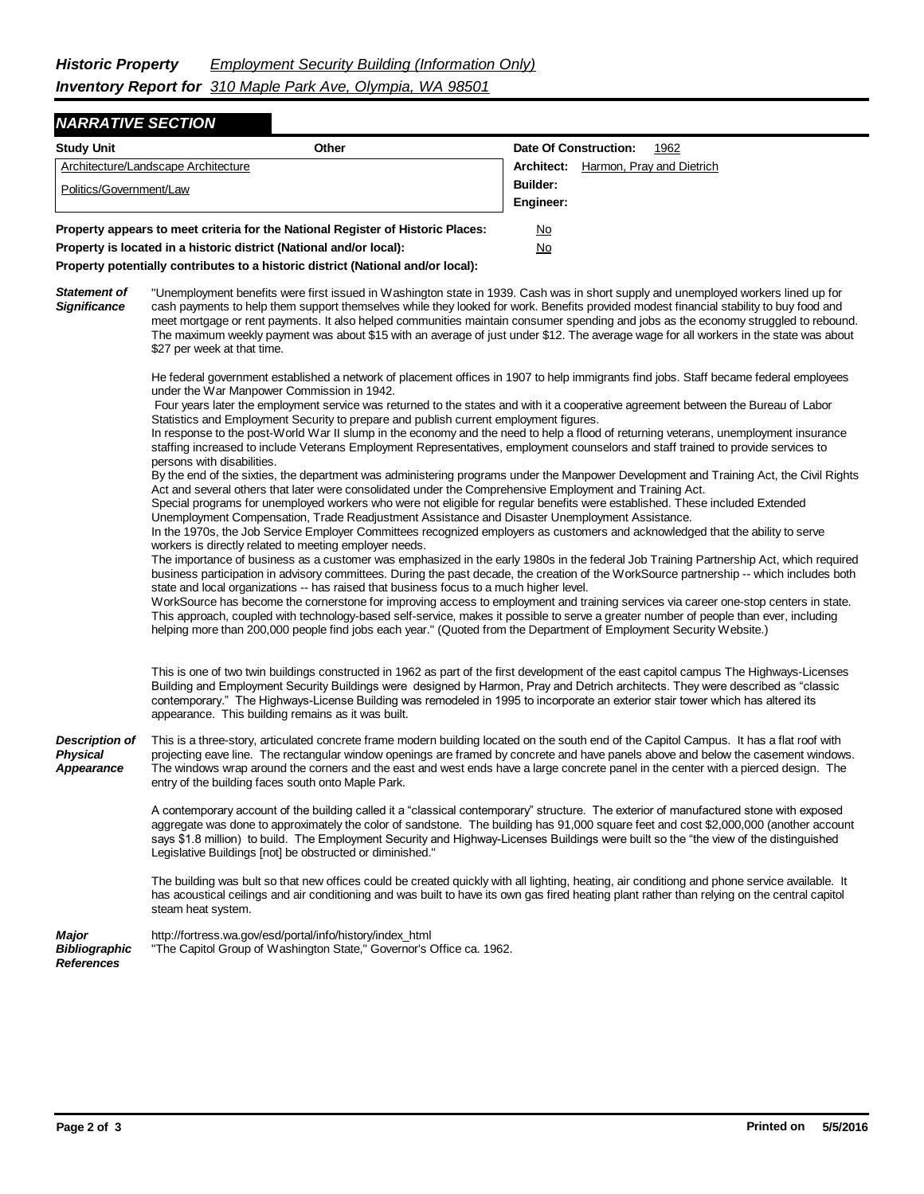## *NARRATIVE SECTION*

| <b>Study Unit</b>                                                               | Other |            | Date Of Construction:<br>1962 |
|---------------------------------------------------------------------------------|-------|------------|-------------------------------|
| Architecture/Landscape Architecture                                             |       | Architect: | Harmon, Pray and Dietrich     |
| Politics/Government/Law                                                         |       | Builder:   |                               |
|                                                                                 |       | Engineer:  |                               |
| Property appears to meet criteria for the National Register of Historic Places: |       | <u>No</u>  |                               |
| Property is located in a historic district (National and/or local):             |       | <u>No</u>  |                               |

**Property potentially contributes to a historic district (National and/or local):**

*Statement of Significance* "Unemployment benefits were first issued in Washington state in 1939. Cash was in short supply and unemployed workers lined up for cash payments to help them support themselves while they looked for work. Benefits provided modest financial stability to buy food and meet mortgage or rent payments. It also helped communities maintain consumer spending and jobs as the economy struggled to rebound. The maximum weekly payment was about \$15 with an average of just under \$12. The average wage for all workers in the state was about \$27 per week at that time.

> He federal government established a network of placement offices in 1907 to help immigrants find jobs. Staff became federal employees under the War Manpower Commission in 1942.

 Four years later the employment service was returned to the states and with it a cooperative agreement between the Bureau of Labor Statistics and Employment Security to prepare and publish current employment figures.

In response to the post-World War II slump in the economy and the need to help a flood of returning veterans, unemployment insurance staffing increased to include Veterans Employment Representatives, employment counselors and staff trained to provide services to persons with disabilities.

By the end of the sixties, the department was administering programs under the Manpower Development and Training Act, the Civil Rights Act and several others that later were consolidated under the Comprehensive Employment and Training Act.

Special programs for unemployed workers who were not eligible for regular benefits were established. These included Extended Unemployment Compensation, Trade Readjustment Assistance and Disaster Unemployment Assistance.

In the 1970s, the Job Service Employer Committees recognized employers as customers and acknowledged that the ability to serve workers is directly related to meeting employer needs.

The importance of business as a customer was emphasized in the early 1980s in the federal Job Training Partnership Act, which required business participation in advisory committees. During the past decade, the creation of the WorkSource partnership -- which includes both state and local organizations -- has raised that business focus to a much higher level.

WorkSource has become the cornerstone for improving access to employment and training services via career one-stop centers in state. This approach, coupled with technology-based self-service, makes it possible to serve a greater number of people than ever, including helping more than 200,000 people find jobs each year." (Quoted from the Department of Employment Security Website.)

This is one of two twin buildings constructed in 1962 as part of the first development of the east capitol campus The Highways-Licenses Building and Employment Security Buildings were designed by Harmon, Pray and Detrich architects. They were described as "classic contemporary." The Highways-License Building was remodeled in 1995 to incorporate an exterior stair tower which has altered its appearance. This building remains as it was built.

*Description of Physical Appearance* This is a three-story, articulated concrete frame modern building located on the south end of the Capitol Campus. It has a flat roof with projecting eave line. The rectangular window openings are framed by concrete and have panels above and below the casement windows. The windows wrap around the corners and the east and west ends have a large concrete panel in the center with a pierced design. The entry of the building faces south onto Maple Park.

> A contemporary account of the building called it a "classical contemporary" structure. The exterior of manufactured stone with exposed aggregate was done to approximately the color of sandstone. The building has 91,000 square feet and cost \$2,000,000 (another account says \$1.8 million) to build. The Employment Security and Highway-Licenses Buildings were built so the "the view of the distinguished Legislative Buildings [not] be obstructed or diminished."

> The building was bult so that new offices could be created quickly with all lighting, heating, air conditiong and phone service available. It has acoustical ceilings and air conditioning and was built to have its own gas fired heating plant rather than relying on the central capitol steam heat system.

*Major Bibliographic References* http://fortress.wa.gov/esd/portal/info/history/index\_html "The Capitol Group of Washington State," Governor's Office ca. 1962.